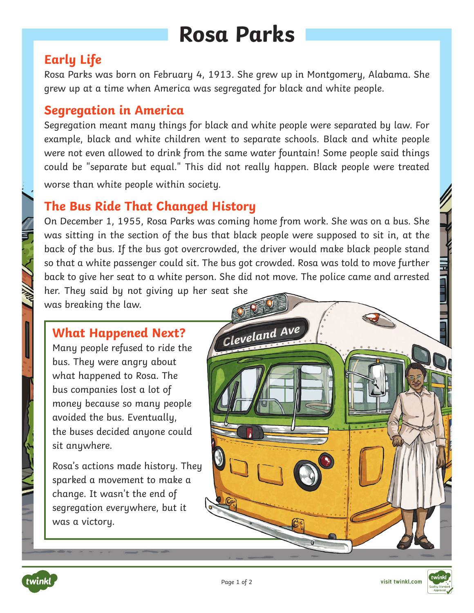# **Rosa Parks**

# **Early Life**

Rosa Parks was born on February 4, 1913. She grew up in Montgomery, Alabama. She grew up at a time when America was segregated for black and white people.

### **Segregation in America**

Segregation meant many things for black and white people were separated by law. For example, black and white children went to separate schools. Black and white people were not even allowed to drink from the same water fountain! Some people said things could be "separate but equal." This did not really happen. Black people were treated worse than white people within society.

## **The Bus Ride That Changed History**

On December 1, 1955, Rosa Parks was coming home from work. She was on a bus. She was sitting in the section of the bus that black people were supposed to sit in, at the back of the bus. If the bus got overcrowded, the driver would make black people stand so that a white passenger could sit. The bus got crowded. Rosa was told to move further back to give her seat to a white person. She did not move. The police came and arrested her. They said by not giving up her seat she

was breaking the law.

#### **What Happened Next?**

Many people refused to ride the bus. They were angry about what happened to Rosa. The bus companies lost a lot of money because so many people avoided the bus. Eventually, the buses decided anyone could sit anywhere.

Rosa's actions made history. They sparked a movement to make a change. It wasn't the end of segregation everywhere, but it was a victory.